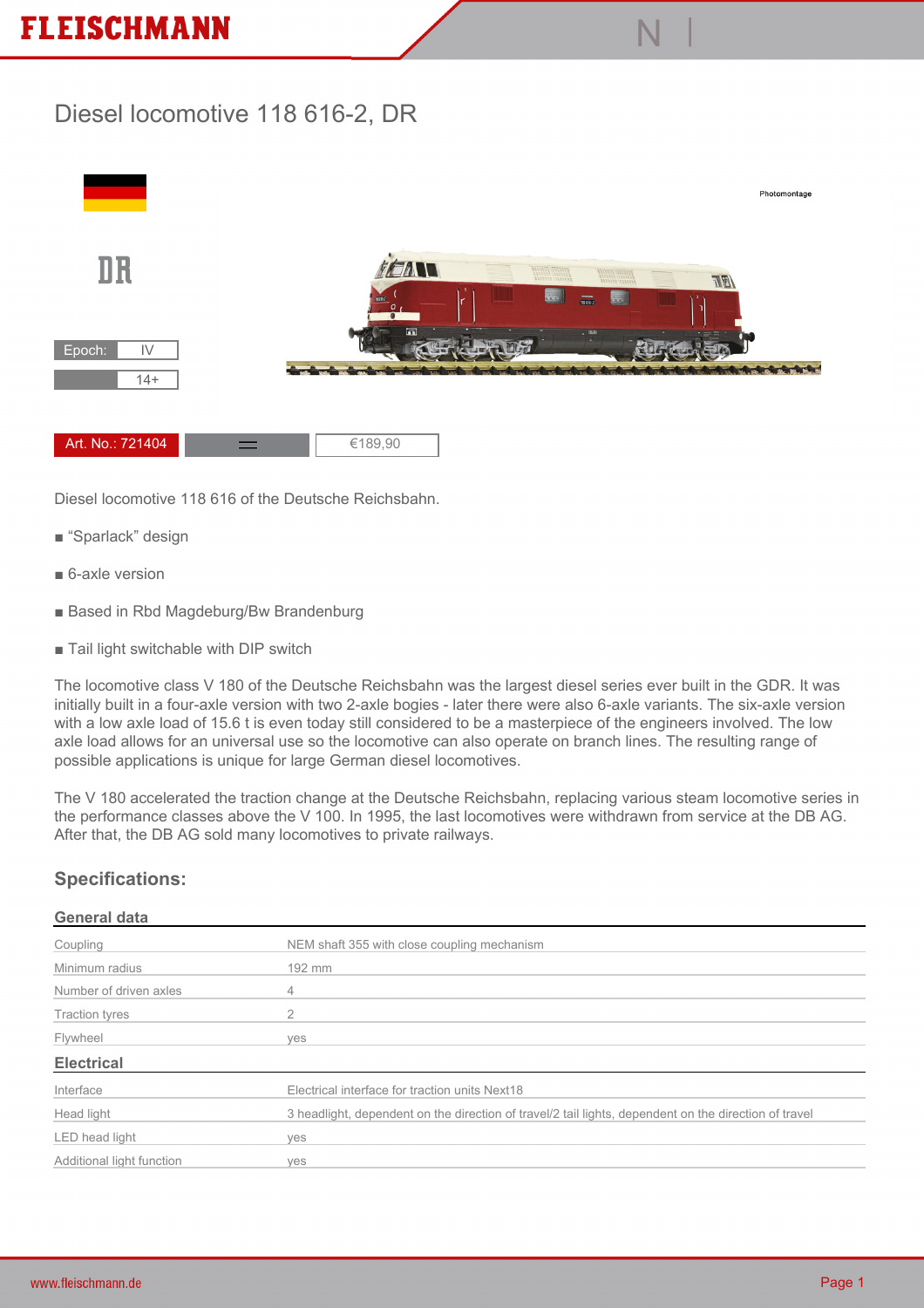## **FLEISCHMANN**

## **Diesel locomotive 118 616-2, DR**



**N |**

**Diesel locomotive 118 616 of the Deutsche Reichsbahn.**

- **"Sparlack" design**
- **6-axle version**
- **Based in Rbd Magdeburg/Bw Brandenburg**
- **Tail light switchable with DIP switch**

**The locomotive class V 180 of the Deutsche Reichsbahn was the largest diesel series ever built in the GDR. It was initially built in a four-axle version with two 2-axle bogies - later there were also 6-axle variants. The six-axle version with a low axle load of 15.6 t is even today still considered to be a masterpiece of the engineers involved. The low axle load allows for an universal use so the locomotive can also operate on branch lines. The resulting range of possible applications is unique for large German diesel locomotives.**

**The V 180 accelerated the traction change at the Deutsche Reichsbahn, replacing various steam locomotive series in the performance classes above the V 100. In 1995, the last locomotives were withdrawn from service at the DB AG. After that, the DB AG sold many locomotives to private railways.**

## **Specifications:**

## **General data**

| Coupling                  | NEM shaft 355 with close coupling mechanism                                                           |
|---------------------------|-------------------------------------------------------------------------------------------------------|
| Minimum radius            | 192 mm                                                                                                |
| Number of driven axles    | 4                                                                                                     |
| <b>Traction tyres</b>     | 2                                                                                                     |
| Flywheel                  | ves                                                                                                   |
| <b>Electrical</b>         |                                                                                                       |
| Interface                 | Electrical interface for traction units Next18                                                        |
| Head light                | 3 headlight, dependent on the direction of travel/2 tail lights, dependent on the direction of travel |
| LED head light            | ves                                                                                                   |
| Additional light function | ves                                                                                                   |